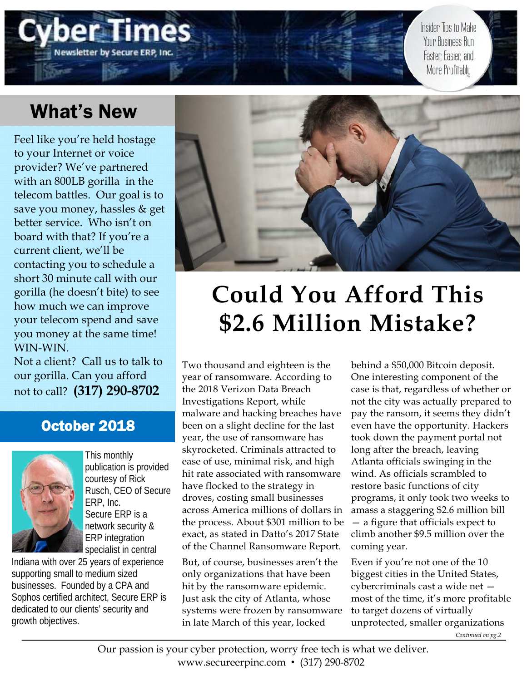Insider Tips to Make Your Business Run Faster Easier and More Profitably

# What's New

**Vewsletter by Secure ERP, Inc** 

Feel like you're held hostage to your Internet or voice provider? We've partnered with an 800LB gorilla in the telecom battles. Our goal is to save you money, hassles & get better service. Who isn't on board with that? If you're a current client, we'll be contacting you to schedule a short 30 minute call with our gorilla (he doesn't bite) to see how much we can improve your telecom spend and save you money at the same time! WIN-WIN.

Not a client? Call us to talk to our gorilla. Can you afford not to call? **(317) 290-8702**

# October 2018



This monthly publication is provided courtesy of Rick Rusch, CEO of Secure ERP, Inc. Secure ERP is a network security & ERP integration specialist in central

Indiana with over 25 years of experience supporting small to medium sized businesses. Founded by a CPA and Sophos certified architect, Secure ERP is dedicated to our clients' security and growth objectives.



# **Could You Afford This \$2.6 Million Mistake?**

Two thousand and eighteen is the year of ransomware. According to the 2018 Verizon Data Breach Investigations Report, while malware and hacking breaches have been on a slight decline for the last year, the use of ransomware has skyrocketed. Criminals attracted to ease of use, minimal risk, and high hit rate associated with ransomware have flocked to the strategy in droves, costing small businesses across America millions of dollars in the process. About \$301 million to be exact, as stated in Datto's 2017 State of the Channel Ransomware Report.

But, of course, businesses aren't the only organizations that have been hit by the ransomware epidemic. Just ask the city of Atlanta, whose systems were frozen by ransomware in late March of this year, locked

behind a \$50,000 Bitcoin deposit. One interesting component of the case is that, regardless of whether or not the city was actually prepared to pay the ransom, it seems they didn't even have the opportunity. Hackers took down the payment portal not long after the breach, leaving Atlanta officials swinging in the wind. As officials scrambled to restore basic functions of city programs, it only took two weeks to amass a staggering \$2.6 million bill — a figure that officials expect to climb another \$9.5 million over the coming year.

Even if you're not one of the 10 biggest cities in the United States, cybercriminals cast a wide net most of the time, it's more profitable to target dozens of virtually unprotected, smaller organizations *Continued on pg.2*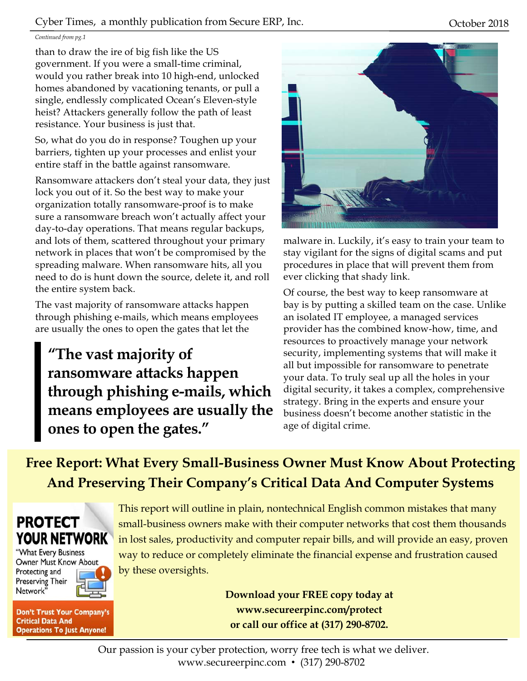#### Cyber Times, a monthly publication from Secure ERP, Inc. 6. October 2018

#### *Continued from pg.1*

than to draw the ire of big fish like the US government. If you were a small-time criminal, would you rather break into 10 high-end, unlocked homes abandoned by vacationing tenants, or pull a single, endlessly complicated Ocean's Eleven-style heist? Attackers generally follow the path of least resistance. Your business is just that.

So, what do you do in response? Toughen up your barriers, tighten up your processes and enlist your entire staff in the battle against ransomware.

Ransomware attackers don't steal your data, they just lock you out of it. So the best way to make your organization totally ransomware-proof is to make sure a ransomware breach won't actually affect your day-to-day operations. That means regular backups, and lots of them, scattered throughout your primary network in places that won't be compromised by the spreading malware. When ransomware hits, all you need to do is hunt down the source, delete it, and roll the entire system back.

The vast majority of ransomware attacks happen through phishing e-mails, which means employees are usually the ones to open the gates that let the

**"The vast majority of ransomware attacks happen through phishing e-mails, which means employees are usually the ones to open the gates."** 



malware in. Luckily, it's easy to train your team to stay vigilant for the signs of digital scams and put procedures in place that will prevent them from ever clicking that shady link.

Of course, the best way to keep ransomware at bay is by putting a skilled team on the case. Unlike an isolated IT employee, a managed services provider has the combined know-how, time, and resources to proactively manage your network security, implementing systems that will make it all but impossible for ransomware to penetrate your data. To truly seal up all the holes in your digital security, it takes a complex, comprehensive strategy. Bring in the experts and ensure your business doesn't become another statistic in the age of digital crime.

**Free Report: What Every Small-Business Owner Must Know About Protecting And Preserving Their Company's Critical Data And Computer Systems** 



"What Every Business Owner Must Know About Protecting and Preserving Their Network'

**Don't Trust Your Company's Critical Data And Operations To Just Anyone!** 

This report will outline in plain, nontechnical English common mistakes that many small-business owners make with their computer networks that cost them thousands in lost sales, productivity and computer repair bills, and will provide an easy, proven way to reduce or completely eliminate the financial expense and frustration caused by these oversights.

> **Download your FREE copy today at www.secureerpinc.com/protect or call our office at (317) 290-8702.**

Our passion is your cyber protection, worry free tech is what we deliver. www.secureerpinc.com • (317) 290-8702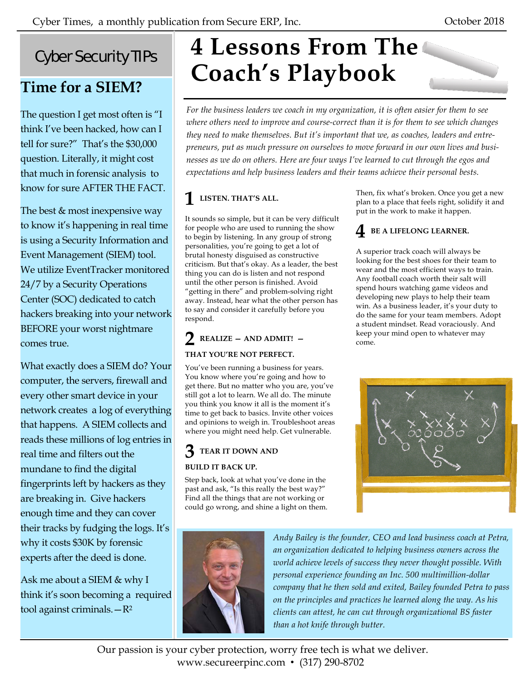# Cyber Security TIPs

# **Time for a SIEM?**

The question I get most often is "I think I've been hacked, how can I tell for sure?" That's the \$30,000 question. Literally, it might cost that much in forensic analysis to know for sure AFTER THE FACT.

The best & most inexpensive way to know it's happening in real time is using a Security Information and Event Management (SIEM) tool. We utilize EventTracker monitored 24/7 by a Security Operations Center (SOC) dedicated to catch hackers breaking into your network BEFORE your worst nightmare comes true.

What exactly does a SIEM do? Your computer, the servers, firewall and every other smart device in your network creates a log of everything that happens. A SIEM collects and reads these millions of log entries in real time and filters out the mundane to find the digital fingerprints left by hackers as they are breaking in. Give hackers enough time and they can cover their tracks by fudging the logs. It's why it costs \$30K by forensic experts after the deed is done.

Ask me about a SIEM & why I think it's soon becoming a required tool against criminals.—R2

# **4 Lessons From The Coach's Playbook**

*For the business leaders we coach in my organization, it is often easier for them to see*  where others need to improve and course-correct than it is for them to see which changes *they need to make themselves. But it's important that we, as coaches, leaders and entrepreneurs, put as much pressure on ourselves to move forward in our own lives and businesses as we do on others. Here are four ways I've learned to cut through the egos and expectations and help business leaders and their teams achieve their personal bests.* 

# **1 LISTEN. THAT'S ALL.**

It sounds so simple, but it can be very difficult for people who are used to running the show to begin by listening. In any group of strong personalities, you're going to get a lot of brutal honesty disguised as constructive criticism. But that's okay. As a leader, the best thing you can do is listen and not respond until the other person is finished. Avoid "getting in there" and problem-solving right away. Instead, hear what the other person has to say and consider it carefully before you respond.

# **2 REALIZE — AND ADMIT! — THAT YOU'RE NOT PERFECT.**

You've been running a business for years. You know where you're going and how to get there. But no matter who you are, you've still got a lot to learn. We all do. The minute you think you know it all is the moment it's time to get back to basics. Invite other voices and opinions to weigh in. Troubleshoot areas where you might need help. Get vulnerable.

### **3 TEAR IT DOWN AND BUILD IT BACK UP.**

Step back, look at what you've done in the past and ask, "Is this really the best way?" Find all the things that are not working or could go wrong, and shine a light on them. Then, fix what's broken. Once you get a new plan to a place that feels right, solidify it and put in the work to make it happen.

## **4 BE A LIFELONG LEARNER.**

A superior track coach will always be looking for the best shoes for their team to wear and the most efficient ways to train. Any football coach worth their salt will spend hours watching game videos and developing new plays to help their team win. As a business leader, it's your duty to do the same for your team members. Adopt a student mindset. Read voraciously. And keep your mind open to whatever may come.





*Andy Bailey is the founder, CEO and lead business coach at Petra, an organization dedicated to helping business owners across the world achieve levels of success they never thought possible. With personal experience founding an Inc. 500 multimillion-dollar company that he then sold and exited, Bailey founded Petra to pass on the principles and practices he learned along the way. As his clients can attest, he can cut through organizational BS faster than a hot knife through butter.* 

Our passion is your cyber protection, worry free tech is what we deliver. www.secureerpinc.com • (317) 290-8702